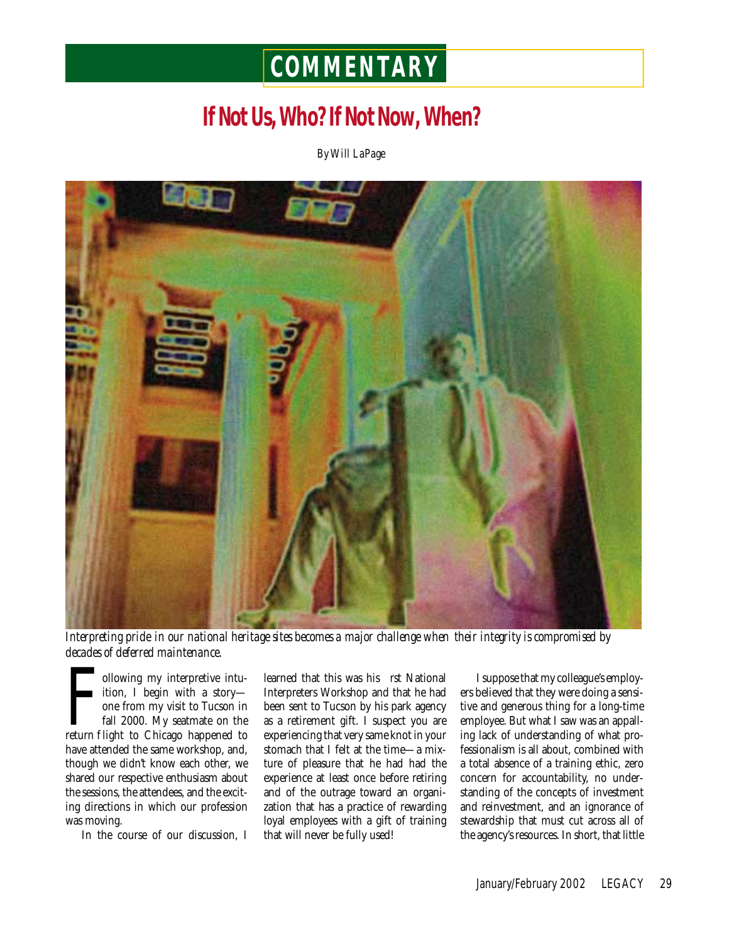# **COMMENTARY**

## **If Not Us, Who? If Not Now, When?**

*By Will LaPage*



*Interpreting pride in our national heritage sites becomes a major challenge when their integrity is compromised by decades of deferred maintenance.* 

Following my interpretive intuition, I begin with a story—<br>one from my visit to Tucson in<br>fall 2000. My seatmate on the<br>return f light to Chicago happened to ollowing my interpretive intuition, I begin with a story one from my visit to Tucson in fall 2000. My seatmate on the have attended the same workshop, and, though we didn't know each other, we shared our respective enthusiasm about the sessions, the attendees, and the exciting directions in which our profession was moving.

In the course of our discussion, I

learned that this was his rst National Interpreters Workshop and that he had been sent to Tucson by his park agency as a retirement gift. I suspect you are experiencing that very same knot in your stomach that I felt at the time—a mixture of pleasure that he had had the experience at least once before retiring and of the outrage toward an organization that has a practice of rewarding loyal employees with a gift of training that will never be fully used!

I suppose that my colleague's employers believed that they were doing a sensitive and generous thing for a long-time employee. But what I saw was an appalling lack of understanding of what professionalism is all about, combined with a total absence of a training ethic, zero concern for accountability, no understanding of the concepts of investment and reinvestment, and an ignorance of stewardship that must cut across all of the agency's resources. In short, that little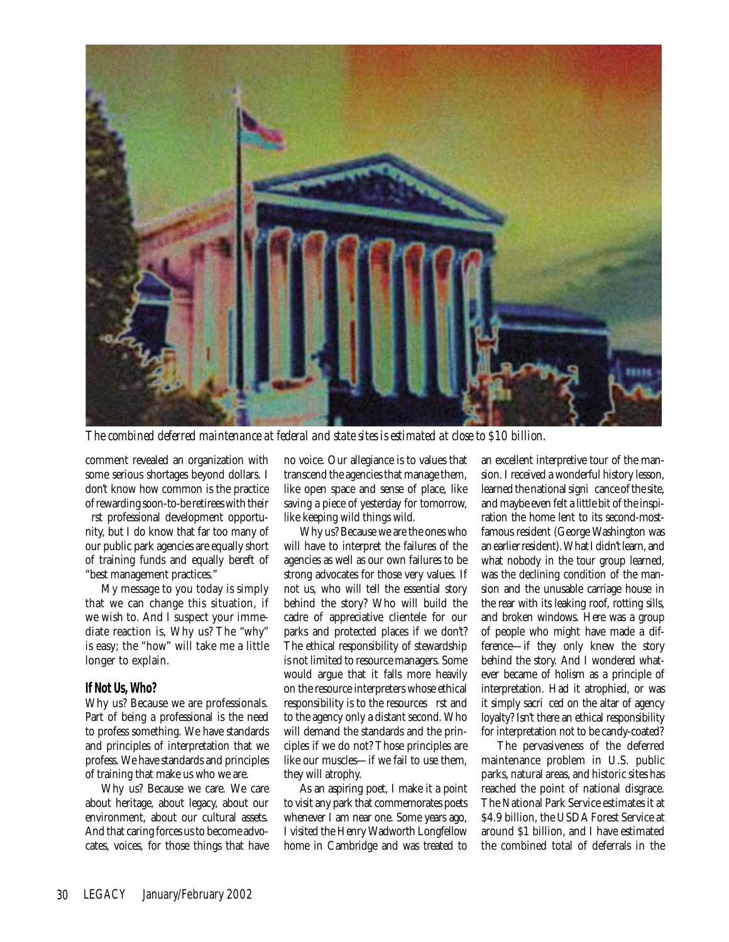

*The combined deferred maintenance at federal and state sites is estimated at close to \$10 billion.*

comment revealed an organization with some serious shortages beyond dollars. I don't know how common is the practice of rewarding soon-to-be retirees with their

 rst professional development opportunity, but I do know that far too many of our public park agencies are equally short of training funds and equally bereft of "best management practices."

My message to you today is simply that we can change this situation, if we wish to. And I suspect your immediate reaction is, Why us? The "why" is easy; the "how" will take me a little longer to explain.

#### **If Not Us, Who?**

Why us? Because we are professionals. Part of being a professional is the need to profess something. We have standards and principles of interpretation that we profess. We have standards and principles of training that make us who we are.

Why us? Because we care. We care about heritage, about legacy, about our environment, about our cultural assets. And that caring forces us to become advocates, voices, for those things that have no voice. Our allegiance is to values that transcend the agencies that manage them, like open space and sense of place, like saving a piece of yesterday for tomorrow, like keeping wild things wild.

Why us? Because we are the ones who will have to interpret the failures of the agencies as well as our own failures to be strong advocates for those very values. If not us, who will tell the essential story behind the story? Who will build the cadre of appreciative clientele for our parks and protected places if we don't? The ethical responsibility of stewardship is not limited to resource managers. Some would argue that it falls more heavily on the resource interpreters whose ethical responsibility is to the resources rst and to the agency only a distant second. Who will demand the standards and the principles if we do not? Those principles are like our muscles—if we fail to use them, they will atrophy.

As an aspiring poet, I make it a point to visit any park that commemorates poets whenever I am near one. Some years ago, I visited the Henry Wadworth Longfellow home in Cambridge and was treated to an excellent interpretive tour of the mansion. I received a wonderful history lesson, learned the national signi cance of the site, and maybe even felt a little bit of the inspiration the home lent to its second-mostfamous resident (George Washington was an earlier resident). What I didn't learn, and what nobody in the tour group learned, was the declining condition of the mansion and the unusable carriage house in the rear with its leaking roof, rotting sills, and broken windows. Here was a group of people who might have made a difference—if they only knew the story behind the story. And I wondered whatever became of holism as a principle of interpretation. Had it atrophied, or was it simply sacri ced on the altar of agency loyalty? Isn't there an ethical responsibility for interpretation not to be candy-coated?

The pervasiveness of the deferred maintenance problem in U.S. public parks, natural areas, and historic sites has reached the point of national disgrace. The National Park Service estimates it at \$4.9 billion, the USDA Forest Service at around \$1 billion, and I have estimated the combined total of deferrals in the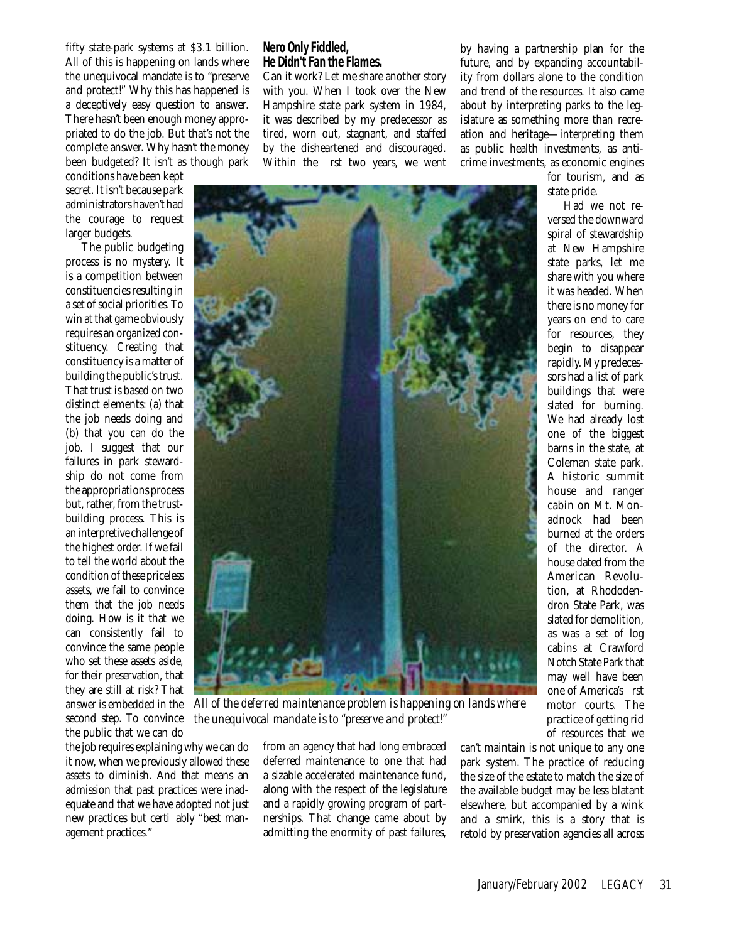fifty state-park systems at \$3.1 billion. All of this is happening on lands where the unequivocal mandate is to "preserve and protect!" Why this has happened is a deceptively easy question to answer. There hasn't been enough money appropriated to do the job. But that's not the complete answer. Why hasn't the money been budgeted? It isn't as though park

conditions have been kept secret. It isn't because park administrators haven't had the courage to request larger budgets.

The public budgeting process is no mystery. It is a competition between constituencies resulting in a set of social priorities. To win at that game obviously requires an organized constituency. Creating that constituency is a matter of building the public's trust. That trust is based on two distinct elements: (a) that the job needs doing and (b) that you can do the job. I suggest that our failures in park stewardship do not come from the appropriations process but, rather, from the trustbuilding process. This is an interpretive challenge of the highest order. If we fail to tell the world about the condition of these priceless assets, we fail to convince them that the job needs doing. How is it that we can consistently fail to convince the same people who set these assets aside, for their preservation, that they are still at risk? That answer is embedded in the second step. To convince the public that we can do

the job requires explaining why we can do it now, when we previously allowed these assets to diminish. And that means an admission that past practices were inadequate and that we have adopted not just new practices but certi ably "best management practices."

#### **Nero Only Fiddled, He Didn't Fan the Flames.**

Can it work? Let me share another story with you. When I took over the New Hampshire state park system in 1984, it was described by my predecessor as tired, worn out, stagnant, and staffed by the disheartened and discouraged. Within the rst two years, we went by having a partnership plan for the future, and by expanding accountability from dollars alone to the condition and trend of the resources. It also came about by interpreting parks to the legislature as something more than recreation and heritage—interpreting them as public health investments, as anticrime investments, as economic engines

*All of the deferred maintenance problem is happening on lands where the unequivocal mandate is to "preserve and protect!"*

from an agency that had long embraced deferred maintenance to one that had a sizable accelerated maintenance fund, along with the respect of the legislature and a rapidly growing program of partnerships. That change came about by admitting the enormity of past failures,

can't maintain is not unique to any one park system. The practice of reducing the size of the estate to match the size of the available budget may be less blatant elsewhere, but accompanied by a wink and a smirk, this is a story that is retold by preservation agencies all across

for tourism, and as state pride.

Had we not reversed the downward spiral of stewardship at New Hampshire state parks, let me share with you where it was headed. When there is no money for years on end to care for resources, they begin to disappear rapidly. My predecessors had a list of park buildings that were slated for burning. We had already lost one of the biggest barns in the state, at Coleman state park. A historic summit house and ranger cabin on Mt. Monadnock had been burned at the orders of the director. A house dated from the American Revolution, at Rhododendron State Park, was slated for demolition, as was a set of log cabins at Crawford Notch State Park that may well have been one of America's rst motor courts. The practice of getting rid of resources that we